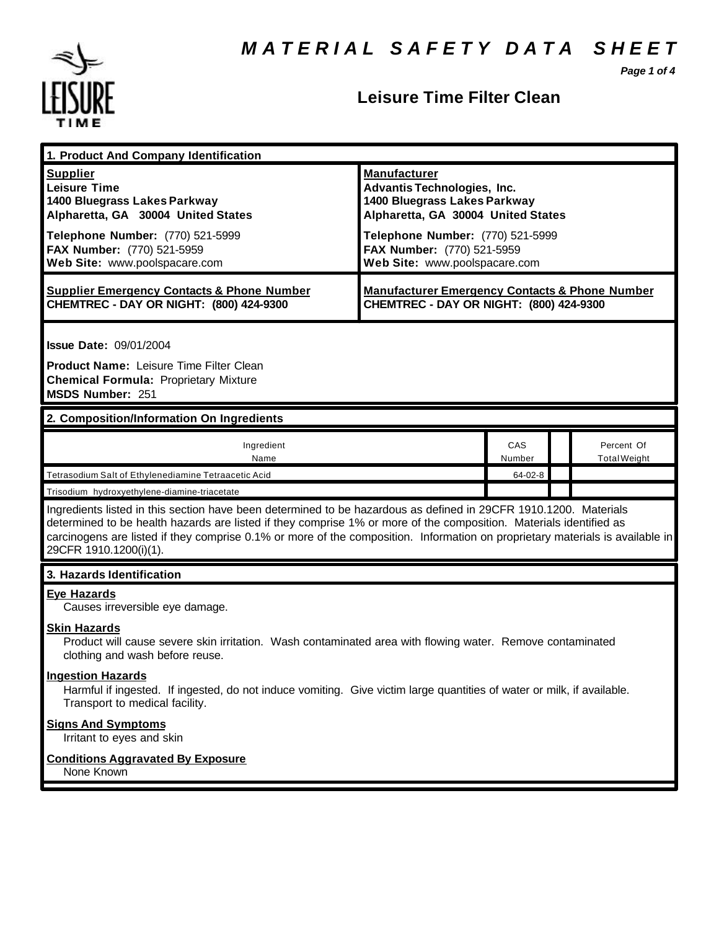*Page 1 of 4*



#### **Leisure Time Filter Clean**

| 1. Product And Company Identification                                                                                                                                                                                                                                                                                                                                                             |                                                                                                                                 |               |  |                                   |  |
|---------------------------------------------------------------------------------------------------------------------------------------------------------------------------------------------------------------------------------------------------------------------------------------------------------------------------------------------------------------------------------------------------|---------------------------------------------------------------------------------------------------------------------------------|---------------|--|-----------------------------------|--|
| <b>Supplier</b><br><b>Leisure Time</b><br>1400 Bluegrass Lakes Parkway<br>Alpharetta, GA 30004 United States                                                                                                                                                                                                                                                                                      | <b>Manufacturer</b><br><b>Advantis Technologies, Inc.</b><br>1400 Bluegrass Lakes Parkway<br>Alpharetta, GA 30004 United States |               |  |                                   |  |
| Telephone Number: (770) 521-5999<br>FAX Number: (770) 521-5959<br>Web Site: www.poolspacare.com                                                                                                                                                                                                                                                                                                   | Telephone Number: (770) 521-5999<br>FAX Number: (770) 521-5959<br>Web Site: www.poolspacare.com                                 |               |  |                                   |  |
| <b>Supplier Emergency Contacts &amp; Phone Number</b><br>CHEMTREC - DAY OR NIGHT: (800) 424-9300                                                                                                                                                                                                                                                                                                  | <b>Manufacturer Emergency Contacts &amp; Phone Number</b><br>CHEMTREC - DAY OR NIGHT: (800) 424-9300                            |               |  |                                   |  |
| <b>Issue Date: 09/01/2004</b><br><b>Product Name: Leisure Time Filter Clean</b><br><b>Chemical Formula: Proprietary Mixture</b><br>MSDS Number: 251                                                                                                                                                                                                                                               |                                                                                                                                 |               |  |                                   |  |
| 2. Composition/Information On Ingredients                                                                                                                                                                                                                                                                                                                                                         |                                                                                                                                 |               |  |                                   |  |
| Ingredient<br>Name                                                                                                                                                                                                                                                                                                                                                                                |                                                                                                                                 | CAS<br>Number |  | Percent Of<br><b>Total Weight</b> |  |
| Tetrasodium Salt of Ethylenediamine Tetraacetic Acid                                                                                                                                                                                                                                                                                                                                              |                                                                                                                                 | 64-02-8       |  |                                   |  |
| Trisodium hydroxyethylene-diamine-triacetate                                                                                                                                                                                                                                                                                                                                                      |                                                                                                                                 |               |  |                                   |  |
| Ingredients listed in this section have been determined to be hazardous as defined in 29CFR 1910.1200. Materials<br>determined to be health hazards are listed if they comprise 1% or more of the composition. Materials identified as<br>carcinogens are listed if they comprise 0.1% or more of the composition. Information on proprietary materials is available in<br>29CFR 1910.1200(i)(1). |                                                                                                                                 |               |  |                                   |  |
| 3. Hazards Identification                                                                                                                                                                                                                                                                                                                                                                         |                                                                                                                                 |               |  |                                   |  |
| <b>Eye Hazards</b><br>Causes irreversible eye damage.                                                                                                                                                                                                                                                                                                                                             |                                                                                                                                 |               |  |                                   |  |
| <b>Skin Hazards</b><br>Product will cause severe skin irritation. Wash contaminated area with flowing water. Remove contaminated<br>clothing and wash before reuse.                                                                                                                                                                                                                               |                                                                                                                                 |               |  |                                   |  |
| <b>Ingestion Hazards</b><br>Harmful if ingested. If ingested, do not induce vomiting. Give victim large quantities of water or milk, if available.<br>Transport to medical facility.                                                                                                                                                                                                              |                                                                                                                                 |               |  |                                   |  |
| <b>Signs And Symptoms</b><br>Irritant to eyes and skin                                                                                                                                                                                                                                                                                                                                            |                                                                                                                                 |               |  |                                   |  |
| <b>Conditions Aggravated By Exposure</b><br>None Known                                                                                                                                                                                                                                                                                                                                            |                                                                                                                                 |               |  |                                   |  |
|                                                                                                                                                                                                                                                                                                                                                                                                   |                                                                                                                                 |               |  |                                   |  |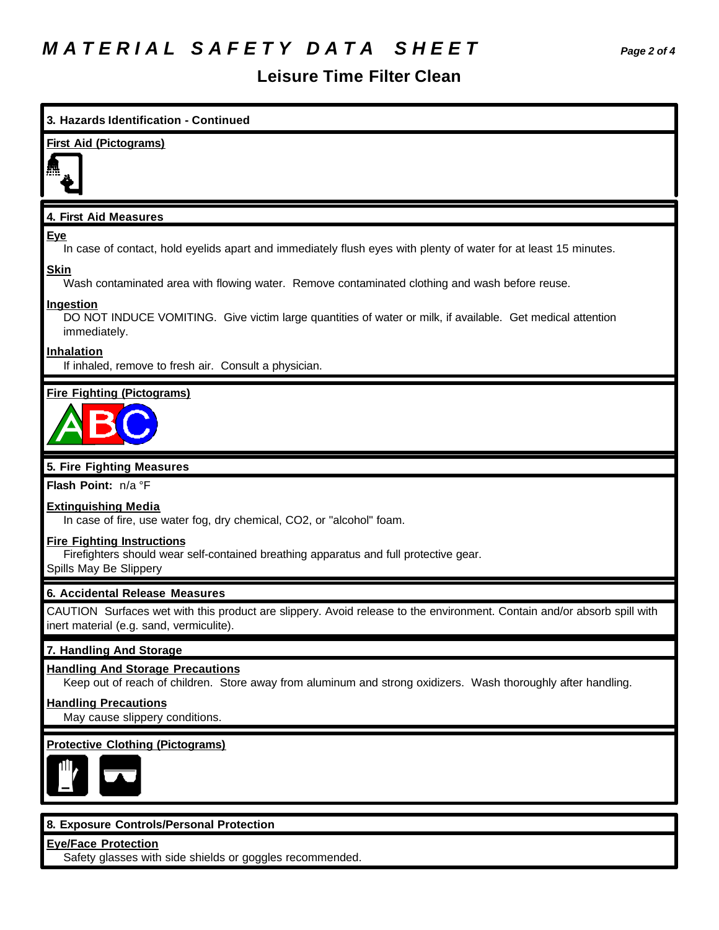## *M A T E R I A L S A F E T Y D A T A S H E E T Page 2 of 4*

#### **Leisure Time Filter Clean**

# **3. Hazards Identification - Continued First Aid (Pictograms) 4. First Aid Measures Eye** In case of contact, hold eyelids apart and immediately flush eyes with plenty of water for at least 15 minutes. **Skin** Wash contaminated area with flowing water. Remove contaminated clothing and wash before reuse. **Ingestion** DO NOT INDUCE VOMITING. Give victim large quantities of water or milk, if available. Get medical attention immediately. **Inhalation** If inhaled, remove to fresh air. Consult a physician. **Fire Fighting (Pictograms) 5. Fire Fighting Measures Flash Point:** n/a °F **Extinguishing Media** In case of fire, use water fog, dry chemical, CO2, or "alcohol" foam. **Fire Fighting Instructions** Firefighters should wear self-contained breathing apparatus and full protective gear. Spills May Be Slippery **6. Accidental Release Measures** CAUTION Surfaces wet with this product are slippery. Avoid release to the environment. Contain and/or absorb spill with inert material (e.g. sand, vermiculite). **7. Handling And Storage Handling And Storage Precautions** Keep out of reach of children. Store away from aluminum and strong oxidizers. Wash thoroughly after handling. **Handling Precautions** May cause slippery conditions. **Protective Clothing (Pictograms) 8. Exposure Controls/Personal Protection Eye/Face Protection** Safety glasses with side shields or goggles recommended.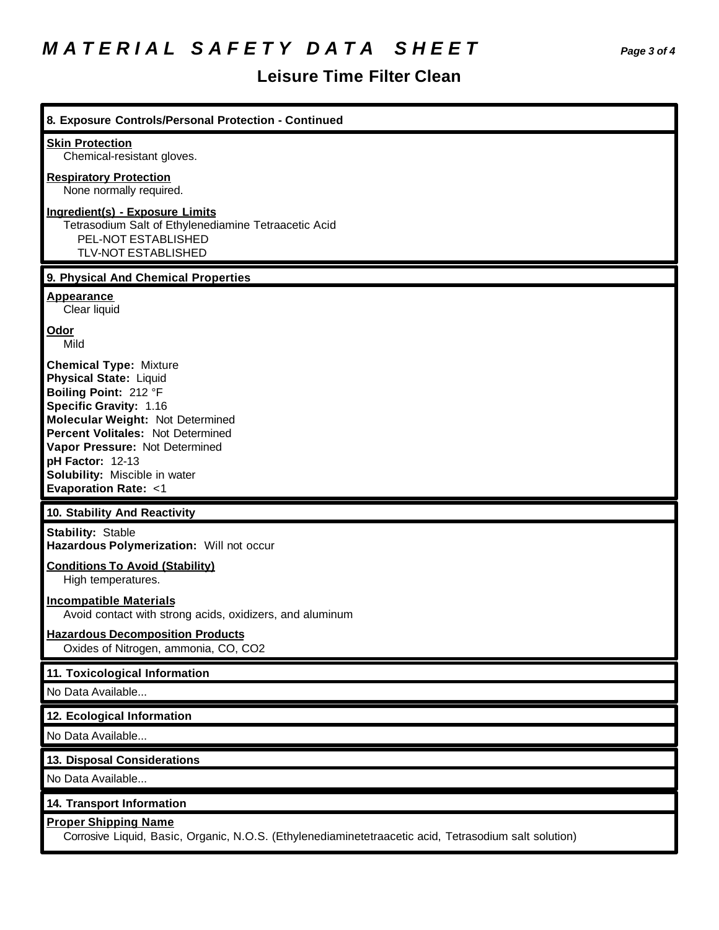## *M A T E R I A L S A F E T Y D A T A S H E E T Page 3 of 4*

## **Leisure Time Filter Clean**

| 8. Exposure Controls/Personal Protection - Continued                                                                                                                                                                                                                                                                       |
|----------------------------------------------------------------------------------------------------------------------------------------------------------------------------------------------------------------------------------------------------------------------------------------------------------------------------|
| <b>Skin Protection</b><br>Chemical-resistant gloves.                                                                                                                                                                                                                                                                       |
| <b>Respiratory Protection</b><br>None normally required.                                                                                                                                                                                                                                                                   |
| <b>Ingredient(s) - Exposure Limits</b><br>Tetrasodium Salt of Ethylenediamine Tetraacetic Acid<br>PEL-NOT ESTABLISHED<br>TLV-NOT ESTABLISHED                                                                                                                                                                               |
| 9. Physical And Chemical Properties                                                                                                                                                                                                                                                                                        |
| <b>Appearance</b><br>Clear liquid                                                                                                                                                                                                                                                                                          |
| Odor<br>Mild                                                                                                                                                                                                                                                                                                               |
| <b>Chemical Type: Mixture</b><br><b>Physical State: Liquid</b><br>Boiling Point: 212 °F<br><b>Specific Gravity: 1.16</b><br>Molecular Weight: Not Determined<br>Percent Volitales: Not Determined<br>Vapor Pressure: Not Determined<br>pH Factor: 12-13<br>Solubility: Miscible in water<br><b>Evaporation Rate: &lt;1</b> |
| 10. Stability And Reactivity                                                                                                                                                                                                                                                                                               |
| <b>Stability: Stable</b><br>Hazardous Polymerization: Will not occur                                                                                                                                                                                                                                                       |
| <b>Conditions To Avoid (Stability)</b><br>High temperatures.                                                                                                                                                                                                                                                               |
| <b>Incompatible Materials</b><br>Avoid contact with strong acids, oxidizers, and aluminum                                                                                                                                                                                                                                  |
| <b>Hazardous Decomposition Products</b><br>Oxides of Nitrogen, ammonia, CO, CO2                                                                                                                                                                                                                                            |
| 11. Toxicological Information                                                                                                                                                                                                                                                                                              |
| No Data Available                                                                                                                                                                                                                                                                                                          |
| 12. Ecological Information                                                                                                                                                                                                                                                                                                 |
| No Data Available                                                                                                                                                                                                                                                                                                          |
| <b>13. Disposal Considerations</b>                                                                                                                                                                                                                                                                                         |
| No Data Available                                                                                                                                                                                                                                                                                                          |
| 14. Transport Information                                                                                                                                                                                                                                                                                                  |
| <b>Proper Shipping Name</b><br>Corrosive Liquid, Basic, Organic, N.O.S. (Ethylenediaminetetraacetic acid, Tetrasodium salt solution)                                                                                                                                                                                       |
|                                                                                                                                                                                                                                                                                                                            |